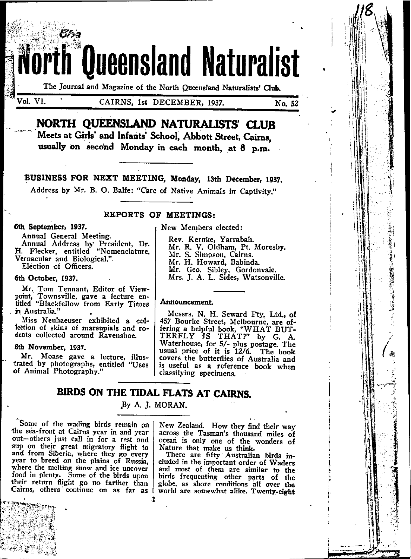The Journal and Magazine of the North Queensland Naturalists' Club.

**Queensland Naturalist** 

Vol. VI.

CAIRNS, 1st DECEMBER, 1937.

No. 52

# NORTH QUEENSLAND NATURALISTS' CLUB

Meets at Girls' and Infants' School, Abbott Street, Cairns, usually on second Monday in each month, at 8 p.m.

BUSINESS FOR NEXT MEETING, Monday, 13th December, 1937.

Address by Mr. B. O. Balfe: "Care of Native Animals in Captivity."

### **REPORTS OF MEETINGS:**

#### 6th September, 1937.

Annual General Meeting.

Annual Address by President, Dr.<br>H. Flecker, entitled "Nomenclature, Vernacular and Biological." Election of Officers.

#### 6th October, 1937.

Mr. Tom Tennant, Editor of Viewpoint, Townsville, gave a lecture en-<br>titled "Blackfellow from Early Times in Australia."

Miss Neuhaeuser exhibited a collection of skins of marsupials and rodents collected around Ravenshoe.

#### 8th November, 1937.

Mr. Moase gave a lecture, illustrated by photographs, entitled "Uses of Animal Photography."

### New Members elected:

Rev. Kernke, Yarrabah. Mr. R. V. Oldham, Pt. Moresby. Mr. S. Simpson, Cairns. Mr. H. Howard, Babinda. Mr. Geo. Sibley, Gordonvale.<br>Mrs. J. A. L. Sides, Watsonville.

### Announcement.

Messrs. N. H. Seward Pty. Ltd., of 457 Bourke Street, Melbourne, are offering a helpful book, "WHAT BUT-TERFLY IS THAT?" by G. A. Waterhouse, for 5/- plus postage. The usual price of it is 12/6. The book covers the butterflies of Australia and is useful as a reference book when classifying specimens.

## BIRDS ON THE TIDAL FLATS AT CAIRNS.

1

## By A. J. MORAN.

Some of the wading birds remain on the sea-front at Cairns year in and year out-others just call in for a rest and sup on their great migratory flight to and from Siberia, where they go every year to breed on the plains of Russia, where the melting snow and ice uncover food in plenty. Some of the birds upon their return flight go no farther than Cairns, others continue on as far as

New Zealand. How they find their way across the Tasman's thousand miles of ocean is only one of the wonders of Nature that make us think.<br>There are fifty Australian birds in-

cluded in the important order of Waders and most of them are similar to the birds frequenting other parts of the globe, as shore conditions all over the world are somewhat alike. Twenty-eight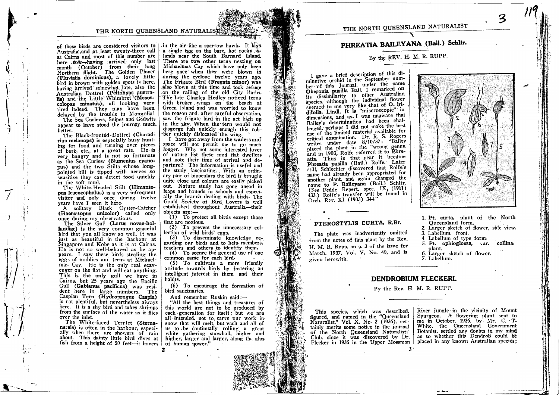of these birds are considered visitors to Australia and at least twenty-three call at Cairns and most of this number are here .tow-having arrived only last month (October) from their long Northern flight. The Golden Plover (Pluvialis dominicus), a lovely little bird in brown with golden spots is here, having arrived somewhat late, also the Australian Dottrel (Peltohyas australis) and the Little Whimbrel (Mesoscolopax minatus), all looking very tired indeed. They may have been delayed by the trouble in Mongolial

The Sea Curlews, Snipes and Godwits appear to have stood the journey much. better.

The Black-fronted Dottrel (Charadrius melanops) is especially busy hunting for food and turning over pieces of bark, etc., at a great rate. He is very hungry and is not so fortunate as the Sea Curlew (Numenius cyanopus) and the two Stilts whose longpointed bill is tipped with nerves so sensitive they can detect food quickly in the soft mud.

The White-Headed Stilt (Himantopus leucocephalus) is a very infrequent visitor and only once during twelve years have I seen it here.

A solitary Black Oyster-Catcher<br>(Haematopus unicolor) called only once during my observations.

The Silver Gull (Larus novae-hollandiae) is the very common graceful bird that you all know so well. It was just as beautiful in the harbour at Singapore and Kobe as it is at Cairns. He is not so well-behaved as he appears. I saw these birds stealing the eggs of noddies and terns at Michaelmas Cay. He is the only real scavenger on the flat and will eat anything. This is the only gull we have in Cairns, but 25 years ago the Pacific Gull (Gabianus pacificus) was resident here in large numbers. The Caspian Tern (Hydroprogne Caspia) is not plentiful, but nevertheless always here. It is a shy bird and takes shrimps from the surface of the water as it flies over the inlet.

The White-faced Ternlet (Sternanereis) is often in the harbour, especially when there are showers of rain about. This dainty little bird dives at fish from a height of 50 feet-it hovers

in the air like a sparrow hawk. It lavs a single egg on the bare, hot rocky islands near the South Barnard Island. There are two other terns nesting on Michaelmas Cay which have only been here once when they were blown in during the cyclone twelve years ago. The Frigate Bird (Fregata minor) was also blown at this time and took refuge on the railing of the old City Baths. The late Charles Hedley noticed terns with broken wings on the beach at Green Island and was worried to know the reason and, after careful observation, saw the frigate bird in the act high up in the sky. When the tern would not disgorge fish quickly enough this robber quickly dislocated the wing.

I have got away from the waders and space will not permit me to go much longer. Why not some interested lover of nature list these mud flat dwellers and note their time of arrival and departure? The information is useful and the study fascinating. With an ordinary pair of binoculars the bird is brought quite close and colours are easily picked out. Nature study has gone ahead in leans and bounds in schools and especially the branch dealing with birds. The Gould Society of Bird Lovers is well established throughout Australia-their objects are:-

(1) To protect all birds except those that are noxious.

(2) To prevent the unnecessary collection of wild birds' eggs.

(3) To disseminate knowledge regarding our birds and to help members. teachers and others to identify them.

(4) To secure the general use of one common name for each bird.

(5) To cultivate a more friendly attitude towards birds by fostering an intelligent interest in them and their habits.

(6) To encourage the formation of bird sanctuaries.

And remember Ruskin said:-

"All the best things and treasures of this world are not to be produced by each generation for itself; but we are all intended, not to carve our work in snow that will melt, but each and all of us to be continually rolling a great white gathering snowball, higher and higher, larger and larger, along the alps of human nower."

## PHREATIA BAILEYANA (Bail.) Schltr.

## By the REV. H. M. R. RUPP.

I gave a brief description of this diminutive orchid in the September number of this Journal, under the name Oberonia pusilla Bail. I remarked on its dissimilarity to other Australian species. although the individual flower seemed to me very like that of O. iridifolia, Lindl. It is "miscroscopic" in dimensions, and as I was unaware that Bailey's determination had been challenged, perhaps I did not make the best use of the limited material available for critical examination. Dr. R. S. Rogers writes under date 8/10/37: "Bailey placed the plant in the "wrong genus." and in 1903, Rolfe referred it to Phreatia. Thus in that year it became Phreatia pusilla (Bail.) Rolfe. Later still, Schlechter discovered that Rolfe's name had already been appropriated for another plant, and again changed the name to P. Baileyana (Bail.) Schltr. (See Fedde Repert. spec. IX. (1911) 433.) Rolfe's transfer will be found in Orch. Rev. XI (1903) 344."

#### PTEROSTYLIS CURTA, R.Br.

The plate was inadvertently omitted from the notes of this plant by the Rev. H. M. R. Rupp, on p. 3 of the issue for March, 1937, Vol. V, No. 49, and is given herewith.



#### 1. Pt. curta, plant of the North Oneensland form.

- 2. Larger sketch of flower, side view. 3. Labellum, front.
- 4. Labellum of type form.
- 5. Pt. ophioglossa, var. collina. plant.
- 6. Larger sketch of flower. 7. Labellum.

## **DENDROBIUM FLECKERI.**

By the Rev. H. M. R. RUPP.

This species, which was described.<br>figured, and named in the "Queensland Naturalist," Vol. X, No. 2 (1936), certainly merits some notice in the journal of the North Queensland Naturalists' Club, since it was discovered by Dr. Flecker in 1936 in the Upper Mossman River jungle in the vicinity of Mount Spurgeon. A flowering plant sent to me in October. 1936. by Mr. C. T. White, the Queensland Government Botanist, settled any doubts in my mind as to whether this Dendrob could be placed in any known Australian species: